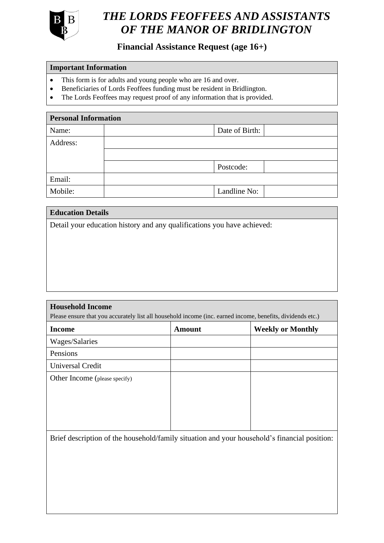

# *OF THE MANOR OF BRIDLINGTON THE LORDS FEOFFEES AND ASSISTANTS*

## **Financial Assistance Request (age 16+)**

### **Important Information**

- This form is for adults and young people who are 16 and over.
- Beneficiaries of Lords Feoffees funding must be resident in Bridlington.
- The Lords Feoffees may request proof of any information that is provided.

| <b>Personal Information</b> |  |                |  |  |  |
|-----------------------------|--|----------------|--|--|--|
| Name:                       |  | Date of Birth: |  |  |  |
| Address:                    |  |                |  |  |  |
|                             |  |                |  |  |  |
|                             |  | Postcode:      |  |  |  |
| Email:                      |  |                |  |  |  |
| Mobile:                     |  | Landline No:   |  |  |  |
|                             |  |                |  |  |  |

| <b>Education Details</b>                                                |  |  |  |  |  |
|-------------------------------------------------------------------------|--|--|--|--|--|
| Detail your education history and any qualifications you have achieved: |  |  |  |  |  |
|                                                                         |  |  |  |  |  |
|                                                                         |  |  |  |  |  |
|                                                                         |  |  |  |  |  |
|                                                                         |  |  |  |  |  |

| <b>Household Income</b><br>Please ensure that you accurately list all household income (inc. earned income, benefits, dividends etc.) |               |                          |  |  |  |
|---------------------------------------------------------------------------------------------------------------------------------------|---------------|--------------------------|--|--|--|
| <b>Income</b>                                                                                                                         | <b>Amount</b> | <b>Weekly or Monthly</b> |  |  |  |
| Wages/Salaries                                                                                                                        |               |                          |  |  |  |
| Pensions                                                                                                                              |               |                          |  |  |  |
| Universal Credit                                                                                                                      |               |                          |  |  |  |
| Other Income (please specify)                                                                                                         |               |                          |  |  |  |
|                                                                                                                                       |               |                          |  |  |  |
|                                                                                                                                       |               |                          |  |  |  |
|                                                                                                                                       |               |                          |  |  |  |
|                                                                                                                                       |               |                          |  |  |  |

Brief description of the household/family situation and your household's financial position: